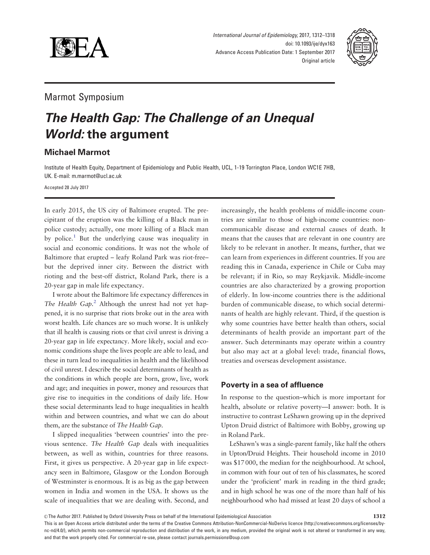

International Journal of Epidemiology, 2017, 1312–1318 doi: 10.1093/ije/dyx163 Advance Access Publication Date: 1 September 2017 Original article



## Marmot Symposium

# The Health Gap: The Challenge of an Unequal World: the argument

## Michael Marmot

Institute of Health Equity, Department of Epidemiology and Public Health, UCL, 1-19 Torrington Place, London WC1E 7HB, UK. E-mail: m.marmot@ucl.ac.uk

Accepted 28 July 2017

In early 2015, the US city of Baltimore erupted. The precipitant of the eruption was the killing of a Black man in police custody; actually, one more killing of a Black man by police.<sup>[1](#page-6-0)</sup> But the underlying cause was inequality in social and economic conditions. It was not the whole of Baltimore that erupted – leafy Roland Park was riot-free– but the deprived inner city. Between the district with rioting and the best-off district, Roland Park, there is a 20-year gap in male life expectancy.

I wrote about the Baltimore life expectancy differences in The Health Gap.<sup>[2](#page-6-0)</sup> Although the unrest had not yet happened, it is no surprise that riots broke out in the area with worst health. Life chances are so much worse. It is unlikely that ill health is causing riots or that civil unrest is driving a 20-year gap in life expectancy. More likely, social and economic conditions shape the lives people are able to lead, and these in turn lead to inequalities in health and the likelihood of civil unrest. I describe the social determinants of health as the conditions in which people are born, grow, live, work and age; and inequities in power, money and resources that give rise to inequities in the conditions of daily life. How these social determinants lead to huge inequalities in health within and between countries, and what we can do about them, are the substance of The Health Gap.

I slipped inequalities 'between countries' into the previous sentence. The Health Gap deals with inequalities between, as well as within, countries for three reasons. First, it gives us perspective. A 20-year gap in life expectancy seen in Baltimore, Glasgow or the London Borough of Westminster is enormous. It is as big as the gap between women in India and women in the USA. It shows us the scale of inequalities that we are dealing with. Second, and

increasingly, the health problems of middle-income countries are similar to those of high-income countries: noncommunicable disease and external causes of death. It means that the causes that are relevant in one country are likely to be relevant in another. It means, further, that we can learn from experiences in different countries. If you are reading this in Canada, experience in Chile or Cuba may be relevant; if in Rio, so may Reykjavik. Middle-income countries are also characterized by a growing proportion of elderly. In low-income countries there is the additional burden of communicable disease, to which social determinants of health are highly relevant. Third, if the question is why some countries have better health than others, social determinants of health provide an important part of the answer. Such determinants may operate within a country but also may act at a global level: trade, financial flows, treaties and overseas development assistance.

## Poverty in a sea of affluence

In response to the question–which is more important for health, absolute or relative poverty––I answer: both. It is instructive to contrast LeShawn growing up in the deprived Upton Druid district of Baltimore with Bobby, growing up in Roland Park.

LeShawn's was a single-parent family, like half the others in Upton/Druid Heights. Their household income in 2010 was \$17 000, the median for the neighbourhood. At school, in common with four out of ten of his classmates, he scored under the 'proficient' mark in reading in the third grade; and in high school he was one of the more than half of his neighbourhood who had missed at least 20 days of school a

This is an Open Access article distributed under the terms of the Creative Commons Attribution-NonCommercial-NoDerivs licence (http://creativecommons.org/licenses/bync-nd/4.0/), which permits non-commercial reproduction and distribution of the work, in any medium, provided the original work is not altered or transformed in any way, and that the work properly cited. For commercial re-use, please contact journals.permissions@oup.com

 $\heartsuit$ The Author 2017. Published by Oxford University Press on behalf of the International Epidemiological Association 1312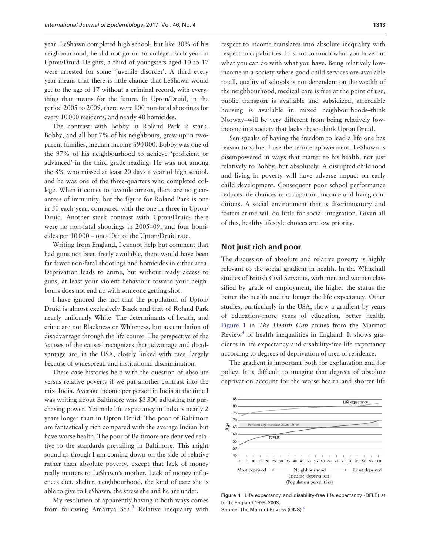year. LeShawn completed high school, but like 90% of his neighbourhood, he did not go on to college. Each year in Upton/Druid Heights, a third of youngsters aged 10 to 17 were arrested for some 'juvenile disorder'. A third every year means that there is little chance that LeShawn would get to the age of 17 without a criminal record, with everything that means for the future. In Upton/Druid, in the period 2005 to 2009, there were 100 non-fatal shootings for every 10 000 residents, and nearly 40 homicides.

The contrast with Bobby in Roland Park is stark. Bobby, and all but 7% of his neighbours, grew up in twoparent families, median income \$90 000. Bobby was one of the 97% of his neighbourhood to achieve 'proficient or advanced' in the third grade reading. He was not among the 8% who missed at least 20 days a year of high school, and he was one of the three-quarters who completed college. When it comes to juvenile arrests, there are no guarantees of immunity, but the figure for Roland Park is one in 50 each year, compared with the one in three in Upton/ Druid. Another stark contrast with Upton/Druid: there were no non-fatal shootings in 2005–09, and four homicides per 10 000 – one-10th of the Upton/Druid rate.

Writing from England, I cannot help but comment that had guns not been freely available, there would have been far fewer non-fatal shootings and homicides in either area. Deprivation leads to crime, but without ready access to guns, at least your violent behaviour toward your neighbours does not end up with someone getting shot.

I have ignored the fact that the population of Upton/ Druid is almost exclusively Black and that of Roland Park nearly uniformly White. The determinants of health, and crime are not Blackness or Whiteness, but accumulation of disadvantage through the life course. The perspective of the 'causes of the causes' recognizes that advantage and disadvantage are, in the USA, closely linked with race, largely because of widespread and institutional discrimination.

These case histories help with the question of absolute versus relative poverty if we put another contrast into the mix: India. Average income per person in India at the time I was writing about Baltimore was \$3 300 adjusting for purchasing power. Yet male life expectancy in India is nearly 2 years longer than in Upton Druid. The poor of Baltimore are fantastically rich compared with the average Indian but have worse health. The poor of Baltimore are deprived relative to the standards prevailing in Baltimore. This might sound as though I am coming down on the side of relative rather than absolute poverty, except that lack of money really matters to LeShawn's mother. Lack of money influences diet, shelter, neighbourhood, the kind of care she is able to give to LeShawn, the stress she and he are under.

My resolution of apparently having it both ways comes from following Amartya Sen.<sup>[3](#page-6-0)</sup> Relative inequality with

respect to income translates into absolute inequality with respect to capabilities. It is not so much what you have but what you can do with what you have. Being relatively lowincome in a society where good child services are available to all, quality of schools is not dependent on the wealth of the neighbourhood, medical care is free at the point of use, public transport is available and subsidized, affordable housing is available in mixed neighbourhoods–think Norway–will be very different from being relatively lowincome in a society that lacks these–think Upton Druid.

Sen speaks of having the freedom to lead a life one has reason to value. I use the term empowerment. LeShawn is disempowered in ways that matter to his health: not just relatively to Bobby, but absolutely. A disrupted childhood and living in poverty will have adverse impact on early child development. Consequent poor school performance reduces life chances in occupation, income and living conditions. A social environment that is discriminatory and fosters crime will do little for social integration. Given all of this, healthy lifestyle choices are low priority.

#### Not just rich and poor

The discussion of absolute and relative poverty is highly relevant to the social gradient in health. In the Whitehall studies of British Civil Servants, with men and women classified by grade of employment, the higher the status the better the health and the longer the life expectancy. Other studies, particularly in the USA, show a gradient by years of education–more years of education, better health. Figure 1 in The Health Gap comes from the Marmot Review<sup>[4](#page-6-0)</sup> of health inequalities in England. It shows gradients in life expectancy and disability-free life expectancy according to degrees of deprivation of area of residence.

The gradient is important both for explanation and for policy. It is difficult to imagine that degrees of absolute deprivation account for the worse health and shorter life



Figure 1 Life expectancy and disability-free life expectancy (DFLE) at birth: England 1999–2003.

Source: The Marmot Review (ONS).[5](#page-6-0)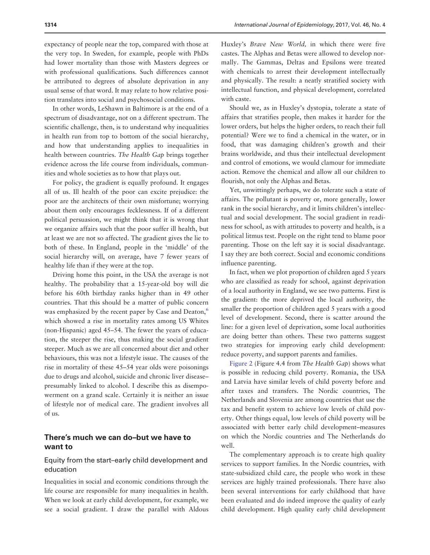expectancy of people near the top, compared with those at the very top. In Sweden, for example, people with PhDs had lower mortality than those with Masters degrees or with professional qualifications. Such differences cannot be attributed to degrees of absolute deprivation in any usual sense of that word. It may relate to how relative position translates into social and psychosocial conditions.

In other words, LeShawn in Baltimore is at the end of a spectrum of disadvantage, not on a different spectrum. The scientific challenge, then, is to understand why inequalities in health run from top to bottom of the social hierarchy, and how that understanding applies to inequalities in health between countries. The Health Gap brings together evidence across the life course from individuals, communities and whole societies as to how that plays out.

For policy, the gradient is equally profound. It engages all of us. Ill health of the poor can excite prejudice: the poor are the architects of their own misfortune; worrying about them only encourages fecklessness. If of a different political persuasion, we might think that it is wrong that we organize affairs such that the poor suffer ill health, but at least we are not so affected. The gradient gives the lie to both of these. In England, people in the 'middle' of the social hierarchy will, on average, have 7 fewer years of healthy life than if they were at the top.

Driving home this point, in the USA the average is not healthy. The probability that a 15-year-old boy will die before his 60th birthday ranks higher than in 49 other countries. That this should be a matter of public concern was emphasized by the recent paper by Case and Deaton,<sup>6</sup> which showed a rise in mortality rates among US Whites (non-Hispanic) aged 45–54. The fewer the years of education, the steeper the rise, thus making the social gradient steeper. Much as we are all concerned about diet and other behaviours, this was not a lifestyle issue. The causes of the rise in mortality of these 45–54 year olds were poisonings due to drugs and alcohol, suicide and chronic liver disease– presumably linked to alcohol. I describe this as disempowerment on a grand scale. Certainly it is neither an issue of lifestyle nor of medical care. The gradient involves all of us.

### There's much we can do–but we have to want to

### Equity from the start–early child development and education

Inequalities in social and economic conditions through the life course are responsible for many inequalities in health. When we look at early child development, for example, we see a social gradient. I draw the parallel with Aldous Huxley's Brave New World, in which there were five castes. The Alphas and Betas were allowed to develop normally. The Gammas, Deltas and Epsilons were treated with chemicals to arrest their development intellectually and physically. The result: a neatly stratified society with intellectual function, and physical development, correlated with caste.

Should we, as in Huxley's dystopia, tolerate a state of affairs that stratifies people, then makes it harder for the lower orders, but helps the higher orders, to reach their full potential? Were we to find a chemical in the water, or in food, that was damaging children's growth and their brains worldwide, and thus their intellectual development and control of emotions, we would clamour for immediate action. Remove the chemical and allow all our children to flourish, not only the Alphas and Betas.

Yet, unwittingly perhaps, we do tolerate such a state of affairs. The pollutant is poverty or, more generally, lower rank in the social hierarchy, and it limits children's intellectual and social development. The social gradient in readiness for school, as with attitudes to poverty and health, is a political litmus test. People on the right tend to blame poor parenting. Those on the left say it is social disadvantage. I say they are both correct. Social and economic conditions influence parenting.

In fact, when we plot proportion of children aged 5 years who are classified as ready for school, against deprivation of a local authority in England, we see two patterns. First is the gradient: the more deprived the local authority, the smaller the proportion of children aged 5 years with a good level of development. Second, there is scatter around the line: for a given level of deprivation, some local authorities are doing better than others. These two patterns suggest two strategies for improving early child development: reduce poverty, and support parents and families.

[Figure 2](#page-3-0) (Figure 4.4 from The Health Gap) shows what is possible in reducing child poverty. Romania, the USA and Latvia have similar levels of child poverty before and after taxes and transfers. The Nordic countries, The Netherlands and Slovenia are among countries that use the tax and benefit system to achieve low levels of child poverty. Other things equal, low levels of child poverty will be associated with better early child development–measures on which the Nordic countries and The Netherlands do well.

The complementary approach is to create high quality services to support families. In the Nordic countries, with state-subsidized child care, the people who work in these services are highly trained professionals. There have also been several interventions for early childhood that have been evaluated and do indeed improve the quality of early child development. High quality early child development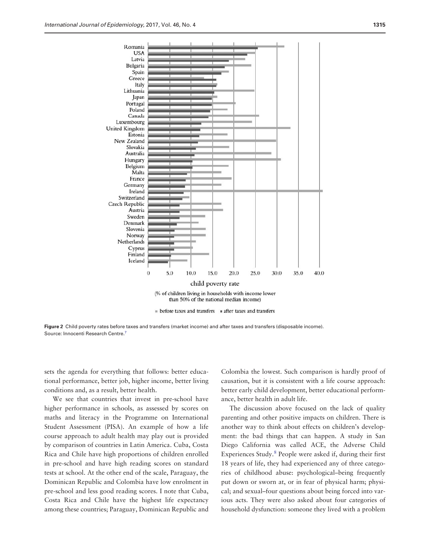<span id="page-3-0"></span>

 $\equiv$  before taxes and transfers  $\equiv$  after taxes and transfers

Figure 2 Child poverty rates before taxes and transfers (market income) and after taxes and transfers (disposable income). Source: Innocenti Research Centre.<sup>[7](#page-6-0)</sup>

sets the agenda for everything that follows: better educational performance, better job, higher income, better living conditions and, as a result, better health.

We see that countries that invest in pre-school have higher performance in schools, as assessed by scores on maths and literacy in the Programme on International Student Assessment (PISA). An example of how a life course approach to adult health may play out is provided by comparison of countries in Latin America. Cuba, Costa Rica and Chile have high proportions of children enrolled in pre-school and have high reading scores on standard tests at school. At the other end of the scale, Paraguay, the Dominican Republic and Colombia have low enrolment in pre-school and less good reading scores. I note that Cuba, Costa Rica and Chile have the highest life expectancy among these countries; Paraguay, Dominican Republic and

Colombia the lowest. Such comparison is hardly proof of causation, but it is consistent with a life course approach: better early child development, better educational performance, better health in adult life.

The discussion above focused on the lack of quality parenting and other positive impacts on children. There is another way to think about effects on children's development: the bad things that can happen. A study in San Diego California was called ACE, the Adverse Child Experiences Study[.8](#page-6-0) People were asked if, during their first 18 years of life, they had experienced any of three categories of childhood abuse: psychological–being frequently put down or sworn at, or in fear of physical harm; physical; and sexual–four questions about being forced into various acts. They were also asked about four categories of household dysfunction: someone they lived with a problem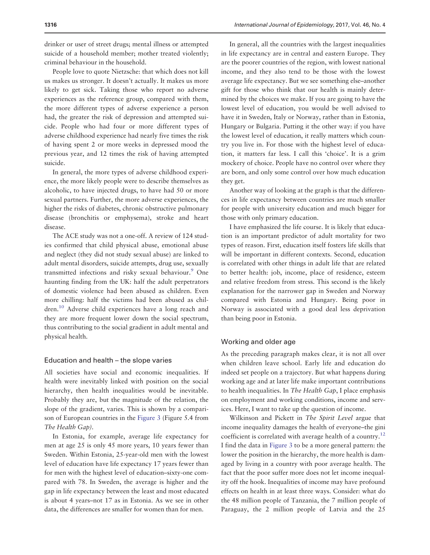drinker or user of street drugs; mental illness or attempted suicide of a household member; mother treated violently; criminal behaviour in the household.

People love to quote Nietzsche: that which does not kill us makes us stronger. It doesn't actually. It makes us more likely to get sick. Taking those who report no adverse experiences as the reference group, compared with them, the more different types of adverse experience a person had, the greater the risk of depression and attempted suicide. People who had four or more different types of adverse childhood experience had nearly five times the risk of having spent 2 or more weeks in depressed mood the previous year, and 12 times the risk of having attempted suicide.

In general, the more types of adverse childhood experience, the more likely people were to describe themselves as alcoholic, to have injected drugs, to have had 50 or more sexual partners. Further, the more adverse experiences, the higher the risks of diabetes, chronic obstructive pulmonary disease (bronchitis or emphysema), stroke and heart disease.

The ACE study was not a one-off. A review of 124 studies confirmed that child physical abuse, emotional abuse and neglect (they did not study sexual abuse) are linked to adult mental disorders, suicide attempts, drug use, sexually transmitted infections and risky sexual behaviour.<sup>[9](#page-6-0)</sup> One haunting finding from the UK: half the adult perpetrators of domestic violence had been abused as children. Even more chilling: half the victims had been abused as children.[10](#page-6-0) Adverse child experiences have a long reach and they are more frequent lower down the social spectrum, thus contributing to the social gradient in adult mental and physical health.

#### Education and health – the slope varies

All societies have social and economic inequalities. If health were inevitably linked with position on the social hierarchy, then health inequalities would be inevitable. Probably they are, but the magnitude of the relation, the slope of the gradient, varies. This is shown by a comparison of European countries in the [Figure 3](#page-5-0) (Figure 5.4 from The Health Gap).

In Estonia, for example, average life expectancy for men at age 25 is only 45 more years, 10 years fewer than Sweden. Within Estonia, 25-year-old men with the lowest level of education have life expectancy 17 years fewer than for men with the highest level of education–sixty-one compared with 78. In Sweden, the average is higher and the gap in life expectancy between the least and most educated is about 4 years–not 17 as in Estonia. As we see in other data, the differences are smaller for women than for men.

In general, all the countries with the largest inequalities in life expectancy are in central and eastern Europe. They are the poorer countries of the region, with lowest national income, and they also tend to be those with the lowest average life expectancy. But we see something else–another gift for those who think that our health is mainly determined by the choices we make. If you are going to have the lowest level of education, you would be well advised to have it in Sweden, Italy or Norway, rather than in Estonia, Hungary or Bulgaria. Putting it the other way: if you have the lowest level of education, it really matters which country you live in. For those with the highest level of education, it matters far less. I call this 'choice'. It is a grim mockery of choice. People have no control over where they are born, and only some control over how much education they get.

Another way of looking at the graph is that the differences in life expectancy between countries are much smaller for people with university education and much bigger for those with only primary education.

I have emphasized the life course. It is likely that education is an important predictor of adult mortality for two types of reason. First, education itself fosters life skills that will be important in different contexts. Second, education is correlated with other things in adult life that are related to better health: job, income, place of residence, esteem and relative freedom from stress. This second is the likely explanation for the narrower gap in Sweden and Norway compared with Estonia and Hungary. Being poor in Norway is associated with a good deal less deprivation than being poor in Estonia.

#### Working and older age

As the preceding paragraph makes clear, it is not all over when children leave school. Early life and education do indeed set people on a trajectory. But what happens during working age and at later life make important contributions to health inequalities. In The Health Gap, I place emphasis on employment and working conditions, income and services. Here, I want to take up the question of income.

Wilkinson and Pickett in The Spirit Level argue that income inequality damages the health of everyone–the gini coefficient is correlated with average health of a country[.12](#page-6-0) I find the data in [Figure 3](#page-5-0) to be a more general pattern: the lower the position in the hierarchy, the more health is damaged by living in a country with poor average health. The fact that the poor suffer more does not let income inequality off the hook. Inequalities of income may have profound effects on health in at least three ways. Consider: what do the 48 million people of Tanzania, the 7 million people of Paraguay, the 2 million people of Latvia and the 25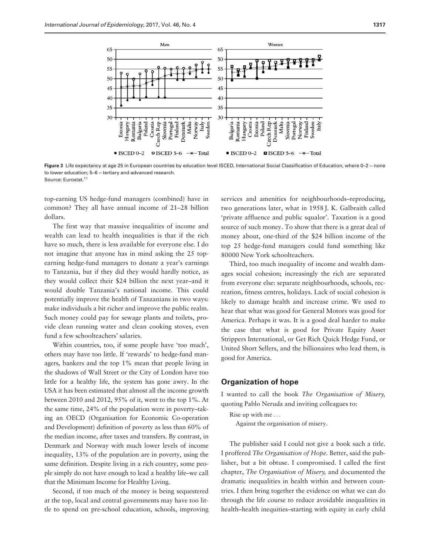<span id="page-5-0"></span>

Figure 3 Life expectancy at age 25 in European countries by education level ISCED, International Social Classification of Education, where 0-2 = none to lower education;  $5-6$  = tertiary and advanced research. Source: Eurostat.<sup>[11](#page-6-0)</sup>

top-earning US hedge-fund managers (combined) have in common? They all have annual income of 21–28 billion dollars.

The first way that massive inequalities of income and wealth can lead to health inequalities is that if the rich have so much, there is less available for everyone else. I do not imagine that anyone has in mind asking the 25 topearning hedge-fund managers to donate a year's earnings to Tanzania, but if they did they would hardly notice, as they would collect their \$24 billion the next year–and it would double Tanzania's national income. This could potentially improve the health of Tanzanians in two ways: make individuals a bit richer and improve the public realm. Such money could pay for sewage plants and toilets, provide clean running water and clean cooking stoves, even fund a few schoolteachers' salaries.

Within countries, too, if some people have 'too much', others may have too little. If 'rewards' to hedge-fund managers, bankers and the top 1% mean that people living in the shadows of Wall Street or the City of London have too little for a healthy life, the system has gone awry. In the USA it has been estimated that almost all the income growth between 2010 and 2012, 95% of it, went to the top 1%. At the same time, 24% of the population were in poverty–taking an OECD (Organisation for Economic Co-operation and Development) definition of poverty as less than 60% of the median income, after taxes and transfers. By contrast, in Denmark and Norway with much lower levels of income inequality, 13% of the population are in poverty, using the same definition. Despite living in a rich country, some people simply do not have enough to lead a healthy life–we call that the Minimum Income for Healthy Living.

Second, if too much of the money is being sequestered at the top, local and central governments may have too little to spend on pre-school education, schools, improving

services and amenities for neighbourhoods–reproducing, two generations later, what in 1958 J. K. Galbraith called 'private affluence and public squalor'. Taxation is a good source of such money. To show that there is a great deal of money about, one-third of the \$24 billion income of the top 25 hedge-fund managers could fund something like 80000 New York schoolteachers.

Third, too much inequality of income and wealth damages social cohesion; increasingly the rich are separated from everyone else: separate neighbourhoods, schools, recreation, fitness centres, holidays. Lack of social cohesion is likely to damage health and increase crime. We used to hear that what was good for General Motors was good for America. Perhaps it was. It is a good deal harder to make the case that what is good for Private Equity Asset Strippers International, or Get Rich Quick Hedge Fund, or United Short Sellers, and the billionaires who lead them, is good for America.

#### Organization of hope

I wanted to call the book The Organisation of Misery, quoting Pablo Neruda and inviting colleagues to:

Rise up with me ... Against the organisation of misery.

The publisher said I could not give a book such a title. I proffered The Organisation of Hope. Better, said the publisher, but a bit obtuse. I compromised. I called the first chapter, The Organisation of Misery, and documented the dramatic inequalities in health within and between countries. I then bring together the evidence on what we can do through the life course to reduce avoidable inequalities in health–health inequities–starting with equity in early child